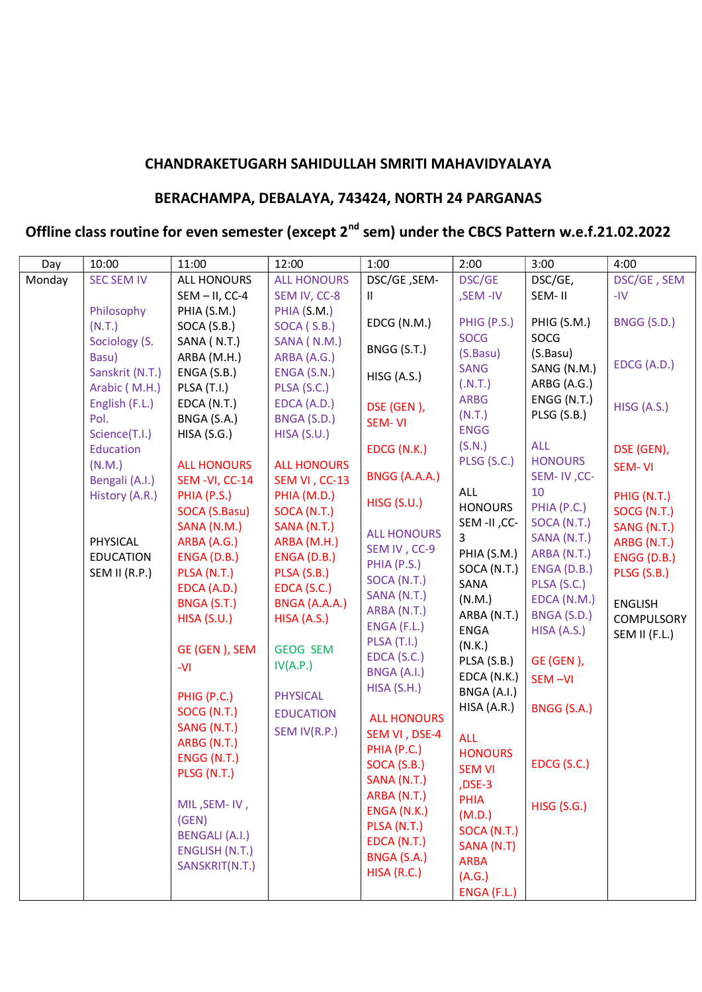## **CHANDRAKETUGARH SAHIDULLAH SMRITI MAHAVIDYALAYA**

## **BERACHAMPA, DEBALAYA, 743424, NORTH 24 PARGANAS**

## **Offline class routine for even semester (except 2nd sem) under the CBCS Pattern w.e.f.21.02.2022**

| Day    | 10:00             | 11:00                          | 12:00              | 1:00               | 2:00                          | 3:00                       | 4:00               |
|--------|-------------------|--------------------------------|--------------------|--------------------|-------------------------------|----------------------------|--------------------|
| Monday | <b>SEC SEM IV</b> | <b>ALL HONOURS</b>             | <b>ALL HONOURS</b> | DSC/GE, SEM-       | DSC/GE                        | DSC/GE,                    | DSC/GE, SEM        |
|        |                   | $SEM - II$ , CC-4              | SEM IV, CC-8       | Ш.                 | ,SEM-IV                       | SEM-II                     | $-IV$              |
|        | Philosophy        | PHIA (S.M.)                    | PHIA (S.M.)        |                    |                               |                            |                    |
|        | (N.T.)            | SOCA (S.B.)                    | SOCA (S.B.)        | EDCG (N.M.)        | PHIG (P.S.)                   | PHIG (S.M.)                | BNGG (S.D.)        |
|        | Sociology (S.     | SANA (N.T.)                    | SANA (N.M.)        | BNGG (S.T.)        | <b>SOCG</b>                   | SOCG                       |                    |
|        | Basu)             | ARBA (M.H.)                    | ARBA (A.G.)        |                    | (S.Basu)                      | (S.Basu)                   | EDCG (A.D.)        |
|        | Sanskrit (N.T.)   | ENGA (S.B.)                    | ENGA (S.N.)        | HISG (A.S.)        | <b>SANG</b>                   | SANG (N.M.)                |                    |
|        | Arabic (M.H.)     | <b>PLSA (T.I.)</b>             | PLSA (S.C.)        |                    | (N.T.)                        | ARBG (A.G.)                |                    |
|        | English (F.L.)    | EDCA (N.T.)                    | EDCA (A.D.)        | DSE (GEN),         | <b>ARBG</b>                   | ENGG (N.T.)                | HISG (A.S.)        |
|        | Pol.              | BNGA (S.A.)                    | BNGA (S.D.)        | SEM-VI             | (N.T.)                        | PLSG (S.B.)                |                    |
|        | Science(T.I.)     | HISA(S.G.)                     | HISA (S.U.)        |                    | <b>ENGG</b>                   |                            |                    |
|        | Education         |                                |                    | EDCG (N.K.)        | (S.N.)                        | <b>ALL</b>                 | DSE (GEN),         |
|        | (N.M.)            | <b>ALL HONOURS</b>             | <b>ALL HONOURS</b> |                    | PLSG (S.C.)                   | <b>HONOURS</b>             | <b>SEM-VI</b>      |
|        | Bengali (A.I.)    | SEM-VI, CC-14                  | SEM VI, CC-13      | BNGG (A.A.A.)      |                               | SEM-IV, CC-                |                    |
|        | History (A.R.)    | PHIA (P.S.)                    | PHIA (M.D.)        | <b>HISG (S.U.)</b> | ALL                           | 10                         | PHIG (N.T.)        |
|        |                   | SOCA (S.Basu)                  | SOCA (N.T.)        |                    | <b>HONOURS</b><br>SEM-II, CC- | PHIA (P.C.)                | SOCG (N.T.)        |
|        |                   | SANA (N.M.)                    | SANA (N.T.)        | <b>ALL HONOURS</b> | 3                             | SOCA (N.T.)                | SANG (N.T.)        |
|        | PHYSICAL          | ARBA (A.G.)                    | ARBA (M.H.)        | SEM IV, CC-9       | PHIA (S.M.)                   | SANA (N.T.)<br>ARBA (N.T.) | ARBG (N.T.)        |
|        | <b>EDUCATION</b>  | ENGA (D.B.)                    | ENGA (D.B.)        | PHIA (P.S.)        | SOCA (N.T.)                   | ENGA (D.B.)                | <b>ENGG (D.B.)</b> |
|        | SEM II (R.P.)     | PLSA (N.T.)                    | PLSA (S.B.)        | SOCA (N.T.)        | SANA                          | PLSA (S.C.)                | PLSG (S.B.)        |
|        |                   | EDCA (A.D.)                    | EDCA (S.C.)        | SANA (N.T.)        | (N.M.)                        | EDCA (N.M.)                |                    |
|        |                   | BNGA (S.T.)                    | BNGA (A.A.A.)      | ARBA (N.T.)        | ARBA (N.T.)                   | BNGA (S.D.)                | <b>ENGLISH</b>     |
|        |                   | HISA(S.U.)                     | HISA (A.S.)        | ENGA (F.L.)        | <b>ENGA</b>                   | HISA (A.S.)                | <b>COMPULSORY</b>  |
|        |                   |                                |                    | PLSA (T.I.)        | (N.K.)                        |                            | SEM II (F.L.)      |
|        |                   | GE (GEN), SEM                  | <b>GEOG SEM</b>    | EDCA (S.C.)        | PLSA (S.B.)                   | GE (GEN),                  |                    |
|        |                   | $-VI$                          | IV(A.P.)           | BNGA (A.I.)        | EDCA (N.K.)                   | SEM-VI                     |                    |
|        |                   |                                |                    | HISA(S.H.)         | BNGA (A.I.)                   |                            |                    |
|        |                   | PHIG (P.C.)                    | <b>PHYSICAL</b>    |                    | HISA (A.R.)                   | BNGG (S.A.)                |                    |
|        |                   | SOCG (N.T.)                    | <b>EDUCATION</b>   | <b>ALL HONOURS</b> |                               |                            |                    |
|        |                   | SANG (N.T.)                    | SEM IV(R.P.)       | SEM VI, DSE-4      | <b>ALL</b>                    |                            |                    |
|        |                   | ARBG (N.T.)                    |                    | PHIA (P.C.)        | <b>HONOURS</b>                |                            |                    |
|        |                   | ENGG (N.T.)                    |                    | SOCA (S.B.)        | <b>SEM VI</b>                 | EDCG (S.C.)                |                    |
|        |                   | PLSG (N.T.)                    |                    | SANA (N.T.)        | ,DSE-3                        |                            |                    |
|        |                   |                                |                    | ARBA (N.T.)        | PHIA                          |                            |                    |
|        |                   | MIL, SEM-IV,                   |                    | ENGA (N.K.)        | (M.D.)                        | <b>HISG (S.G.)</b>         |                    |
|        |                   | (GEN)<br><b>BENGALI (A.I.)</b> |                    | PLSA (N.T.)        | SOCA (N.T.)                   |                            |                    |
|        |                   | ENGLISH (N.T.)                 |                    | EDCA (N.T.)        | SANA (N.T)                    |                            |                    |
|        |                   | SANSKRIT(N.T.)                 |                    | BNGA (S.A.)        | <b>ARBA</b>                   |                            |                    |
|        |                   |                                |                    | HISA (R.C.)        | (A.G.)                        |                            |                    |
|        |                   |                                |                    |                    | ENGA (F.L.)                   |                            |                    |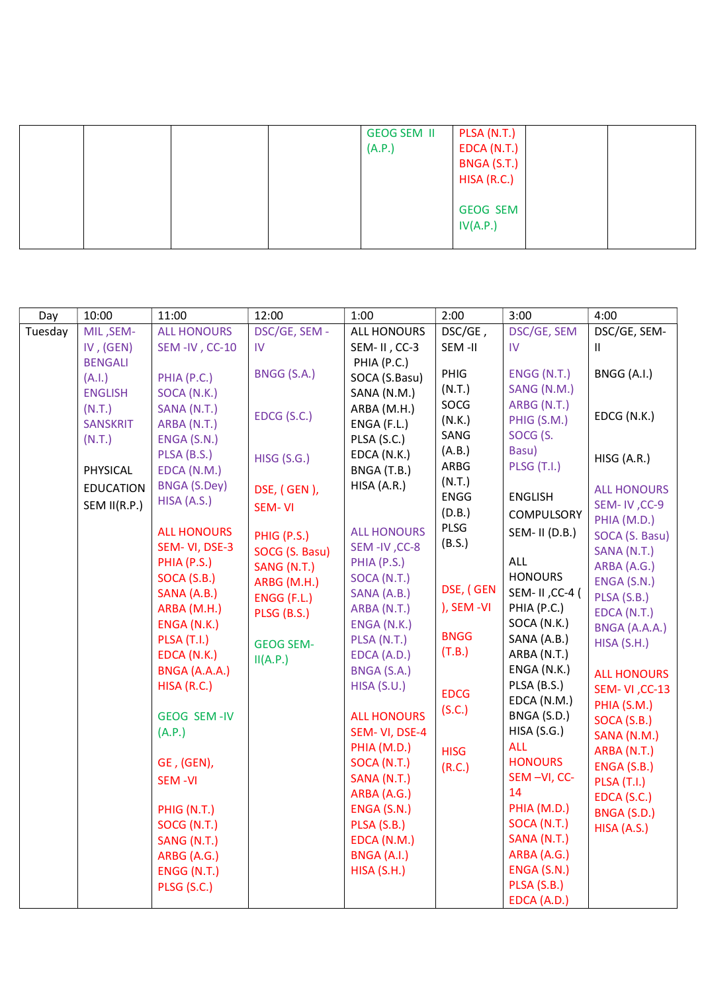|  | <b>GEOG SEM II</b><br>(A.P.) | PLSA (N.T.)<br>EDCA(N.T.)<br>BNGA (S.T.)<br>HISA(R.C.) |  |
|--|------------------------------|--------------------------------------------------------|--|
|  |                              | <b>GEOG SEM</b><br>IV(A.P.)                            |  |

| Day     | 10:00            | 11:00                             | 12:00              | 1:00                       | 2:00                  | 3:00                        | 4:00                              |
|---------|------------------|-----------------------------------|--------------------|----------------------------|-----------------------|-----------------------------|-----------------------------------|
| Tuesday | MIL, SEM-        | <b>ALL HONOURS</b>                | DSC/GE, SEM -      | <b>ALL HONOURS</b>         | DSC/GE,               | DSC/GE, SEM                 | DSC/GE, SEM-                      |
|         | IV, $(GEN)$      | SEM-IV, CC-10                     | IV                 | SEM-II, CC-3               | SEM-II                | IV                          | Ш                                 |
|         | <b>BENGALI</b>   |                                   |                    | PHIA (P.C.)                |                       |                             |                                   |
|         | (A.I.)           | PHIA (P.C.)                       | BNGG (S.A.)        | SOCA (S.Basu)              | PHIG                  | ENGG (N.T.)                 | BNGG (A.I.)                       |
|         | <b>ENGLISH</b>   | SOCA (N.K.)                       |                    | SANA (N.M.)                | (N.T.)                | SANG (N.M.)                 |                                   |
|         | (N.T.)           | SANA (N.T.)                       | EDCG (S.C.)        | ARBA (M.H.)                | SOCG                  | ARBG (N.T.)                 | EDCG (N.K.)                       |
|         | <b>SANSKRIT</b>  | ARBA (N.T.)                       |                    | ENGA (F.L.)                | (N.K.)                | PHIG (S.M.)                 |                                   |
|         | (N.T.)           | ENGA (S.N.)                       |                    | PLSA (S.C.)                | SANG                  | SOCG (S.                    |                                   |
|         |                  | PLSA (B.S.)                       | <b>HISG (S.G.)</b> | EDCA (N.K.)                | (A.B.)<br>ARBG        | Basu)<br><b>PLSG (T.I.)</b> | HISG (A.R.)                       |
|         | PHYSICAL         | EDCA (N.M.)                       |                    | BNGA (T.B.)                |                       |                             |                                   |
|         | <b>EDUCATION</b> | <b>BNGA (S.Dey)</b>               | DSE, (GEN),        | HISA (A.R.)                | (N.T.)<br><b>ENGG</b> | <b>ENGLISH</b>              | <b>ALL HONOURS</b>                |
|         | SEM II(R.P.)     | HISA (A.S.)                       | <b>SEM-VI</b>      |                            | (D.B.)                |                             | SEM-IV, CC-9                      |
|         |                  |                                   |                    |                            | PLSG                  | <b>COMPULSORY</b>           | PHIA (M.D.)                       |
|         |                  | <b>ALL HONOURS</b>                | PHIG (P.S.)        | <b>ALL HONOURS</b>         | (B.S.)                | SEM- II (D.B.)              | SOCA (S. Basu)                    |
|         |                  | SEM-VI, DSE-3                     | SOCG (S. Basu)     | SEM-IV, CC-8               |                       |                             | SANA (N.T.)                       |
|         |                  | PHIA (P.S.)                       | SANG (N.T.)        | PHIA (P.S.)                |                       | <b>ALL</b>                  | ARBA (A.G.)                       |
|         |                  | SOCA (S.B.)                       | ARBG (M.H.)        | SOCA (N.T.)                | DSE, (GEN             | <b>HONOURS</b>              | ENGA (S.N.)                       |
|         |                  | SANA (A.B.)                       | ENGG (F.L.)        | SANA (A.B.)                | ), SEM -VI            | SEM- II, CC-4 (             | PLSA (S.B.)                       |
|         |                  | ARBA (M.H.)                       | PLSG (B.S.)        | ARBA (N.T.)                |                       | PHIA (P.C.)                 | EDCA (N.T.)                       |
|         |                  | ENGA (N.K.)                       |                    | ENGA (N.K.)                | <b>BNGG</b>           | SOCA (N.K.)<br>SANA (A.B.)  | BNGA (A.A.A.)                     |
|         |                  | <b>PLSA (T.I.)</b><br>EDCA (N.K.) | <b>GEOG SEM-</b>   | PLSA (N.T.)<br>EDCA (A.D.) | (T.B.)                | ARBA (N.T.)                 | HISA(S.H.)                        |
|         |                  | BNGA (A.A.A.)                     | II(A.P.)           | BNGA (S.A.)                |                       | ENGA (N.K.)                 |                                   |
|         |                  | HISA(R.C.)                        |                    | HISA(S.U.)                 |                       | PLSA (B.S.)                 | <b>ALL HONOURS</b>                |
|         |                  |                                   |                    |                            | <b>EDCG</b>           | EDCA (N.M.)                 | <b>SEM-VI, CC-13</b>              |
|         |                  | <b>GEOG SEM-IV</b>                |                    | <b>ALL HONOURS</b>         | (S.C.)                | BNGA (S.D.)                 | PHIA (S.M.)                       |
|         |                  | (A.P.)                            |                    | SEM-VI, DSE-4              |                       | HISA(S.G.)                  | SOCA (S.B.)                       |
|         |                  |                                   |                    | PHIA (M.D.)                |                       | <b>ALL</b>                  | SANA (N.M.)                       |
|         |                  | GE, (GEN),                        |                    | SOCA (N.T.)                | <b>HISG</b>           | <b>HONOURS</b>              | ARBA (N.T.)                       |
|         |                  | SEM-VI                            |                    | SANA (N.T.)                | (R.C.)                | SEM-VI, CC-                 | ENGA (S.B.)<br><b>PLSA (T.I.)</b> |
|         |                  |                                   |                    | ARBA (A.G.)                |                       | 14                          | EDCA (S.C.)                       |
|         |                  | PHIG (N.T.)                       |                    | ENGA (S.N.)                |                       | PHIA (M.D.)                 | BNGA (S.D.)                       |
|         |                  | SOCG (N.T.)                       |                    | PLSA (S.B.)                |                       | SOCA (N.T.)                 | HISA (A.S.)                       |
|         |                  | SANG (N.T.)                       |                    | EDCA (N.M.)                |                       | SANA (N.T.)                 |                                   |
|         |                  | ARBG (A.G.)                       |                    | BNGA (A.I.)                |                       | ARBA (A.G.)                 |                                   |
|         |                  | ENGG (N.T.)                       |                    | HISA (S.H.)                |                       | ENGA (S.N.)                 |                                   |
|         |                  | PLSG (S.C.)                       |                    |                            |                       | PLSA (S.B.)                 |                                   |
|         |                  |                                   |                    |                            |                       | EDCA (A.D.)                 |                                   |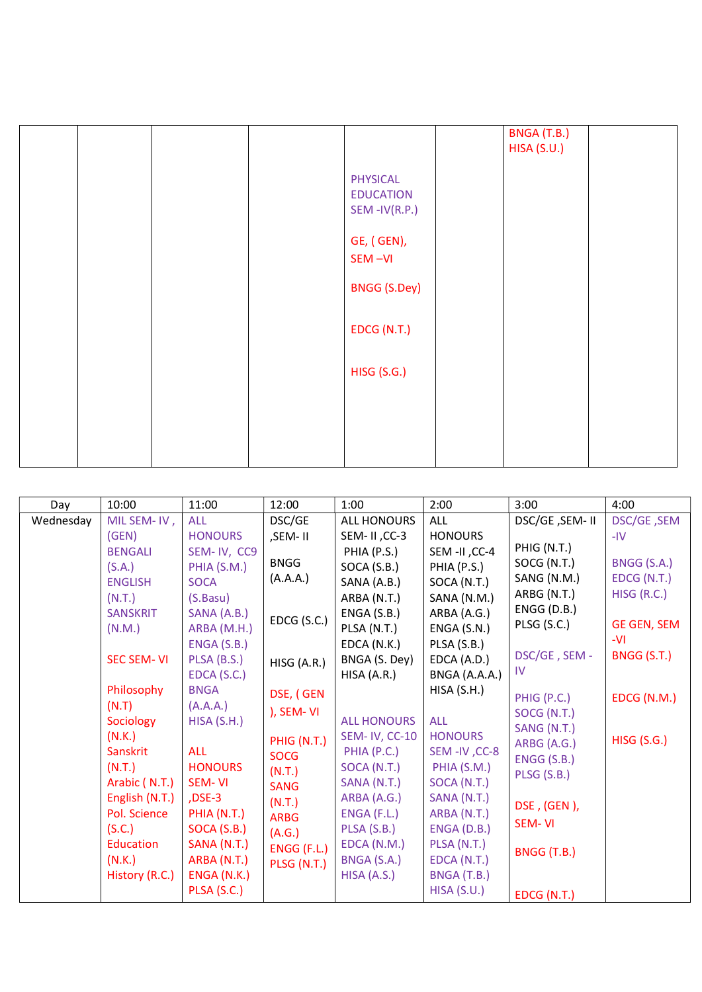|  |  |                                                        | BNGA (T.B.)<br>HISA (S.U.) |  |
|--|--|--------------------------------------------------------|----------------------------|--|
|  |  | <b>PHYSICAL</b><br><b>EDUCATION</b><br>$SEM$ -IV(R.P.) |                            |  |
|  |  | GE, (GEN),<br>SEM-VI                                   |                            |  |
|  |  | <b>BNGG (S.Dey)</b>                                    |                            |  |
|  |  | EDCG (N.T.)                                            |                            |  |
|  |  | <b>HISG (S.G.)</b>                                     |                            |  |
|  |  |                                                        |                            |  |
|  |  |                                                        |                            |  |

| Day       | 10:00             | 11:00          | 12:00       | 1:00                 | 2:00           | 3:00           | 4:00               |
|-----------|-------------------|----------------|-------------|----------------------|----------------|----------------|--------------------|
| Wednesday | MIL SEM-IV,       | <b>ALL</b>     | DSC/GE      | <b>ALL HONOURS</b>   | <b>ALL</b>     | DSC/GE, SEM-II | DSC/GE, SEM        |
|           | (GEN)             | <b>HONOURS</b> | ,SEM-II     | SEM-II, CC-3         | <b>HONOURS</b> |                | $-IV$              |
|           | <b>BENGALI</b>    | SEM-IV, CC9    |             | PHIA (P.S.)          | SEM -II, CC-4  | PHIG (N.T.)    |                    |
|           | (S.A.)            | PHIA (S.M.)    | <b>BNGG</b> | SOCA (S.B.)          | PHIA (P.S.)    | SOCG (N.T.)    | BNGG (S.A.)        |
|           | <b>ENGLISH</b>    | <b>SOCA</b>    | (A.A.A.)    | SANA (A.B.)          | SOCA (N.T.)    | SANG (N.M.)    | EDCG (N.T.)        |
|           | (N.T.)            | (S.Basu)       |             | ARBA (N.T.)          | SANA (N.M.)    | ARBG (N.T.)    | HISG (R.C.)        |
|           | <b>SANSKRIT</b>   | SANA (A.B.)    | EDCG (S.C.) | ENGA(S.B.)           | ARBA (A.G.)    | ENGG (D.B.)    |                    |
|           | (N.M.)            | ARBA (M.H.)    |             | PLSA (N.T.)          | ENGA (S.N.)    | PLSG (S.C.)    | <b>GE GEN, SEM</b> |
|           |                   | ENGA (S.B.)    |             | EDCA (N.K.)          | PLSA (S.B.)    |                | -VI                |
|           | <b>SEC SEM-VI</b> | PLSA (B.S.)    | HISG (A.R.) | BNGA (S. Dey)        | EDCA (A.D.)    | DSC/GE, SEM -  | BNGG (S.T.)        |
|           |                   | EDCA (S.C.)    |             | HISA (A.R.)          | BNGA (A.A.A.)  | <b>IV</b>      |                    |
|           | Philosophy        | <b>BNGA</b>    | DSE, (GEN   |                      | HISA(S.H.)     | PHIG (P.C.)    | EDCG (N.M.)        |
|           | (N.T)             | (A.A.A.)       | ), SEM-VI   |                      |                | SOCG (N.T.)    |                    |
|           | Sociology         | HISA(S.H.)     |             | <b>ALL HONOURS</b>   | <b>ALL</b>     | SANG (N.T.)    |                    |
|           | (N.K.)            |                | PHIG (N.T.) | <b>SEM-IV, CC-10</b> | <b>HONOURS</b> | ARBG (A.G.)    | <b>HISG (S.G.)</b> |
|           | Sanskrit          | <b>ALL</b>     | <b>SOCG</b> | PHIA (P.C.)          | SEM-IV, CC-8   | ENGG (S.B.)    |                    |
|           | (N.T.)            | <b>HONOURS</b> | (N.T.)      | SOCA (N.T.)          | PHIA (S.M.)    | PLSG (S.B.)    |                    |
|           | Arabic (N.T.)     | SEM-VI         | <b>SANG</b> | SANA (N.T.)          | SOCA (N.T.)    |                |                    |
|           | English (N.T.)    | $DSE-3$        | (N.T.)      | ARBA (A.G.)          | SANA (N.T.)    | DSE, (GEN),    |                    |
|           | Pol. Science      | PHIA (N.T.)    | <b>ARBG</b> | ENGA (F.L.)          | ARBA (N.T.)    | SEM-VI         |                    |
|           | (S.C.)            | SOCA (S.B.)    | (A.G.)      | PLSA (S.B.)          | ENGA (D.B.)    |                |                    |
|           | Education         | SANA (N.T.)    | ENGG (F.L.) | EDCA (N.M.)          | PLSA (N.T.)    | BNGG (T.B.)    |                    |
|           | (N.K.)            | ARBA (N.T.)    | PLSG (N.T.) | BNGA (S.A.)          | EDCA (N.T.)    |                |                    |
|           | History (R.C.)    | ENGA (N.K.)    |             | HISA (A.S.)          | BNGA (T.B.)    |                |                    |
|           |                   | PLSA (S.C.)    |             |                      | HISA(S.U.)     | EDCG (N.T.)    |                    |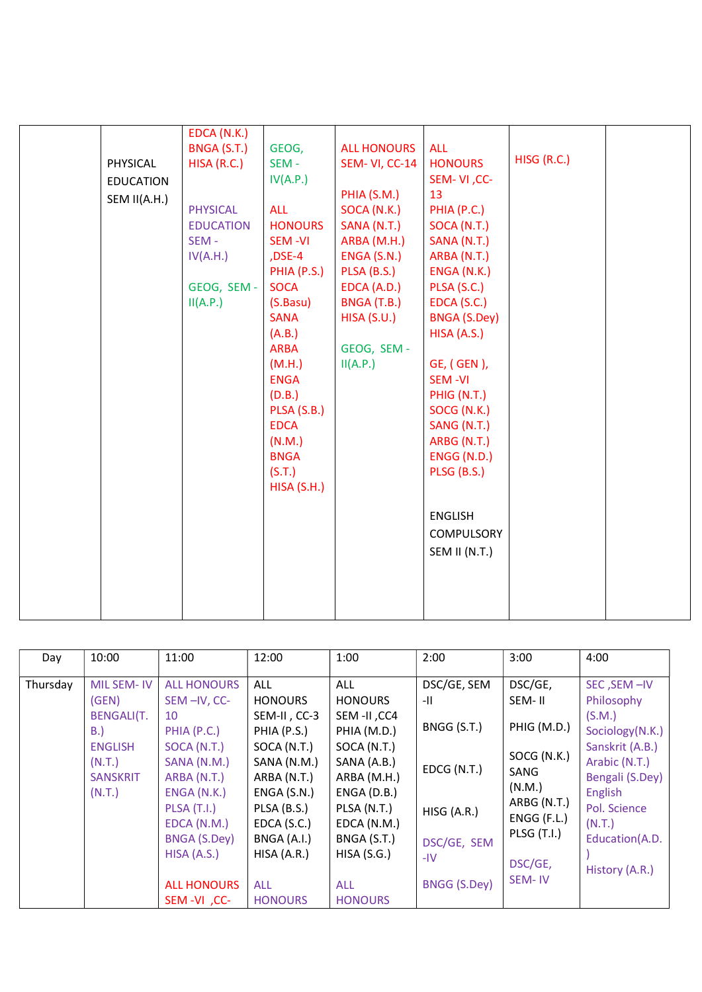|                  | EDCA (N.K.)      |                |                    |                     |             |  |
|------------------|------------------|----------------|--------------------|---------------------|-------------|--|
|                  | BNGA (S.T.)      | GEOG,          | <b>ALL HONOURS</b> | <b>ALL</b>          |             |  |
| PHYSICAL         | HISA(R.C.)       | SEM-           | SEM-VI, CC-14      | <b>HONOURS</b>      | HISG (R.C.) |  |
| <b>EDUCATION</b> |                  | IV(A.P.)       |                    | SEM-VI, CC-         |             |  |
| SEM II(A.H.)     |                  |                | PHIA (S.M.)        | 13                  |             |  |
|                  | <b>PHYSICAL</b>  | <b>ALL</b>     | SOCA (N.K.)        | PHIA (P.C.)         |             |  |
|                  | <b>EDUCATION</b> | <b>HONOURS</b> | SANA (N.T.)        | SOCA (N.T.)         |             |  |
|                  | SEM-             | <b>SEM-VI</b>  | ARBA (M.H.)        | SANA (N.T.)         |             |  |
|                  | IV(A.H.)         | ,DSE-4         | ENGA (S.N.)        | ARBA (N.T.)         |             |  |
|                  |                  | PHIA (P.S.)    | PLSA (B.S.)        | ENGA (N.K.)         |             |  |
|                  | GEOG, SEM -      | <b>SOCA</b>    | EDCA (A.D.)        | PLSA (S.C.)         |             |  |
|                  | II(A.P.)         | (S.Basu)       | BNGA (T.B.)        | EDCA (S.C.)         |             |  |
|                  |                  | <b>SANA</b>    | HISA(S.U.)         | <b>BNGA (S.Dey)</b> |             |  |
|                  |                  | (A.B.)         |                    | HISA (A.S.)         |             |  |
|                  |                  | <b>ARBA</b>    | GEOG, SEM -        |                     |             |  |
|                  |                  | (M.H.)         | II(A.P.)           | GE, (GEN),          |             |  |
|                  |                  | <b>ENGA</b>    |                    | <b>SEM-VI</b>       |             |  |
|                  |                  | (D.B.)         |                    | PHIG (N.T.)         |             |  |
|                  |                  | PLSA (S.B.)    |                    | SOCG (N.K.)         |             |  |
|                  |                  | <b>EDCA</b>    |                    | SANG (N.T.)         |             |  |
|                  |                  | (N.M.)         |                    | ARBG (N.T.)         |             |  |
|                  |                  | <b>BNGA</b>    |                    | ENGG (N.D.)         |             |  |
|                  |                  | (S.T.)         |                    | PLSG (B.S.)         |             |  |
|                  |                  | HISA(S.H.)     |                    |                     |             |  |
|                  |                  |                |                    |                     |             |  |
|                  |                  |                |                    | <b>ENGLISH</b>      |             |  |
|                  |                  |                |                    | COMPULSORY          |             |  |
|                  |                  |                |                    | SEM II (N.T.)       |             |  |
|                  |                  |                |                    |                     |             |  |
|                  |                  |                |                    |                     |             |  |
|                  |                  |                |                    |                     |             |  |
|                  |                  |                |                    |                     |             |  |
|                  |                  |                |                    |                     |             |  |

| Day      | 10:00                                                                                                          | 11:00                                                                                                                                                                                 | 12:00                                                                                                                                                                              | 1:00                                                                                                                                                                                | 2:00                                                                                    | 3:00                                                                                                                             | 4:00                                                                                                                                                                                   |
|----------|----------------------------------------------------------------------------------------------------------------|---------------------------------------------------------------------------------------------------------------------------------------------------------------------------------------|------------------------------------------------------------------------------------------------------------------------------------------------------------------------------------|-------------------------------------------------------------------------------------------------------------------------------------------------------------------------------------|-----------------------------------------------------------------------------------------|----------------------------------------------------------------------------------------------------------------------------------|----------------------------------------------------------------------------------------------------------------------------------------------------------------------------------------|
| Thursday | <b>MIL SEM-IV</b><br>(GEN)<br><b>BENGALI(T.</b><br>B.<br><b>ENGLISH</b><br>(N.T.)<br><b>SANSKRIT</b><br>(N.T.) | <b>ALL HONOURS</b><br>SEM-IV, CC-<br>10<br>PHIA (P.C.)<br>SOCA (N.T.)<br>SANA (N.M.)<br>ARBA (N.T.)<br>ENGA (N.K.)<br>PLSA(T.I.)<br>EDCA (N.M.)<br><b>BNGA (S.Dey)</b><br>HISA (A.S.) | <b>ALL</b><br><b>HONOURS</b><br>SEM-II, CC-3<br>PHIA (P.S.)<br>SOCA (N.T.)<br>SANA (N.M.)<br>ARBA (N.T.)<br>ENGA(S.N.)<br>PLSA (B.S.)<br>EDCA (S.C.)<br>BNGA (A.I.)<br>HISA (A.R.) | <b>ALL</b><br><b>HONOURS</b><br>SEM-II, CC4<br>PHIA (M.D.)<br>SOCA (N.T.)<br>SANA (A.B.)<br>ARBA (M.H.)<br>$ENGA$ (D.B.)<br>PLSA (N.T.)<br>EDCA (N.M.)<br>BNGA (S.T.)<br>HISA(S.G.) | DSC/GE, SEM<br>-II<br>BNGG (S.T.)<br>EDCG (N.T.)<br>HISG (A.R.)<br>DSC/GE, SEM<br>$-IV$ | DSC/GE,<br>SEM-II<br>PHIG (M.D.)<br>SOCG (N.K.)<br>SANG<br>(N.M.)<br>ARBG (N.T.)<br>ENGG (F.L.)<br><b>PLSG (T.I.)</b><br>DSC/GE, | SEC, SEM-IV<br>Philosophy<br>(S.M.)<br>Sociology(N.K.)<br>Sanskrit (A.B.)<br>Arabic (N.T.)<br>Bengali (S.Dey)<br>English<br>Pol. Science<br>(N.T.)<br>Education(A.D.<br>History (A.R.) |
|          |                                                                                                                | <b>ALL HONOURS</b><br>SEM-VI, CC-                                                                                                                                                     | <b>ALL</b><br><b>HONOURS</b>                                                                                                                                                       | <b>ALL</b><br><b>HONOURS</b>                                                                                                                                                        | <b>BNGG (S.Dey)</b>                                                                     | SEM-IV                                                                                                                           |                                                                                                                                                                                        |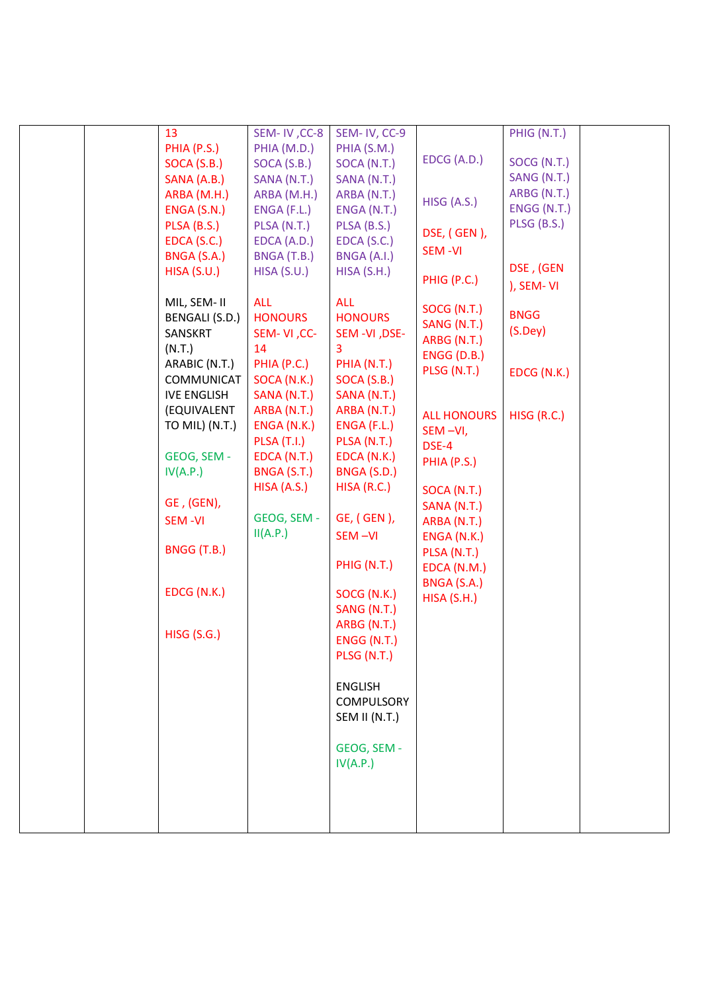|  | 13                 | SEM-IV, CC-8       | SEM-IV, CC-9       |                            | PHIG (N.T.)   |  |
|--|--------------------|--------------------|--------------------|----------------------------|---------------|--|
|  | PHIA (P.S.)        | PHIA (M.D.)        | PHIA (S.M.)        |                            |               |  |
|  | SOCA (S.B.)        | SOCA(S.B.)         | SOCA (N.T.)        | EDCG (A.D.)                | SOCG (N.T.)   |  |
|  | SANA (A.B.)        | SANA (N.T.)        | SANA (N.T.)        |                            | SANG (N.T.)   |  |
|  | ARBA (M.H.)        | ARBA (M.H.)        | ARBA (N.T.)        |                            | ARBG (N.T.)   |  |
|  | ENGA (S.N.)        | $ENGA$ (F.L.)      | ENGA (N.T.)        | HISG (A.S.)                | ENGG (N.T.)   |  |
|  | PLSA (B.S.)        | PLSA (N.T.)        | PLSA (B.S.)        |                            | PLSG (B.S.)   |  |
|  | EDCA (S.C.)        | EDCA (A.D.)        | EDCA (S.C.)        | DSE, (GEN),                |               |  |
|  | BNGA (S.A.)        | BNGA (T.B.)        | BNGA (A.I.)        | <b>SEM-VI</b>              |               |  |
|  | HISA(S.U.)         | HISA(S.U.)         | HISA(S.H.)         |                            | DSE, (GEN     |  |
|  |                    |                    |                    | PHIG (P.C.)                | ), SEM-VI     |  |
|  | MIL, SEM-II        | <b>ALL</b>         | <b>ALL</b>         |                            |               |  |
|  | BENGALI (S.D.)     | <b>HONOURS</b>     | <b>HONOURS</b>     | SOCG (N.T.)                | <b>BNGG</b>   |  |
|  | SANSKRT            | SEM-VI, CC-        | SEM-VI, DSE-       | SANG (N.T.)                | $(S.$ Dey $)$ |  |
|  | (N.T.)             | 14                 | 3                  | ARBG (N.T.)                |               |  |
|  | ARABIC (N.T.)      | PHIA (P.C.)        | PHIA (N.T.)        | ENGG (D.B.)                |               |  |
|  | COMMUNICAT         | SOCA (N.K.)        | SOCA (S.B.)        | PLSG (N.T.)                | EDCG (N.K.)   |  |
|  | <b>IVE ENGLISH</b> | SANA (N.T.)        | SANA (N.T.)        |                            |               |  |
|  | (EQUIVALENT        | ARBA (N.T.)        | ARBA (N.T.)        |                            |               |  |
|  | TO MIL) (N.T.)     | ENGA (N.K.)        | ENGA (F.L.)        | <b>ALL HONOURS</b>         | HISG (R.C.)   |  |
|  |                    | <b>PLSA (T.I.)</b> | PLSA (N.T.)        | SEM-VI,                    |               |  |
|  | GEOG, SEM -        | EDCA (N.T.)        | EDCA (N.K.)        | DSE-4                      |               |  |
|  | IV(A.P.)           | BNGA (S.T.)        | BNGA (S.D.)        | PHIA (P.S.)                |               |  |
|  |                    | HISA (A.S.)        | HISA(R.C.)         |                            |               |  |
|  | GE, (GEN),         |                    |                    | SOCA (N.T.)<br>SANA (N.T.) |               |  |
|  | <b>SEM-VI</b>      | GEOG, SEM -        | GE, (GEN),         | ARBA (N.T.)                |               |  |
|  |                    | II(A.P.)           | SEM-VI             | ENGA (N.K.)                |               |  |
|  | BNGG (T.B.)        |                    |                    | PLSA (N.T.)                |               |  |
|  |                    |                    | PHIG (N.T.)        | EDCA (N.M.)                |               |  |
|  |                    |                    |                    | BNGA (S.A.)                |               |  |
|  | EDCG (N.K.)        |                    | SOCG (N.K.)        | HISA(S.H.)                 |               |  |
|  |                    |                    | SANG (N.T.)        |                            |               |  |
|  |                    |                    | ARBG (N.T.)        |                            |               |  |
|  | <b>HISG (S.G.)</b> |                    | <b>ENGG (N.T.)</b> |                            |               |  |
|  |                    |                    | PLSG (N.T.)        |                            |               |  |
|  |                    |                    |                    |                            |               |  |
|  |                    |                    | <b>ENGLISH</b>     |                            |               |  |
|  |                    |                    | <b>COMPULSORY</b>  |                            |               |  |
|  |                    |                    | SEM II (N.T.)      |                            |               |  |
|  |                    |                    |                    |                            |               |  |
|  |                    |                    | GEOG, SEM -        |                            |               |  |
|  |                    |                    | IV(A.P.)           |                            |               |  |
|  |                    |                    |                    |                            |               |  |
|  |                    |                    |                    |                            |               |  |
|  |                    |                    |                    |                            |               |  |
|  |                    |                    |                    |                            |               |  |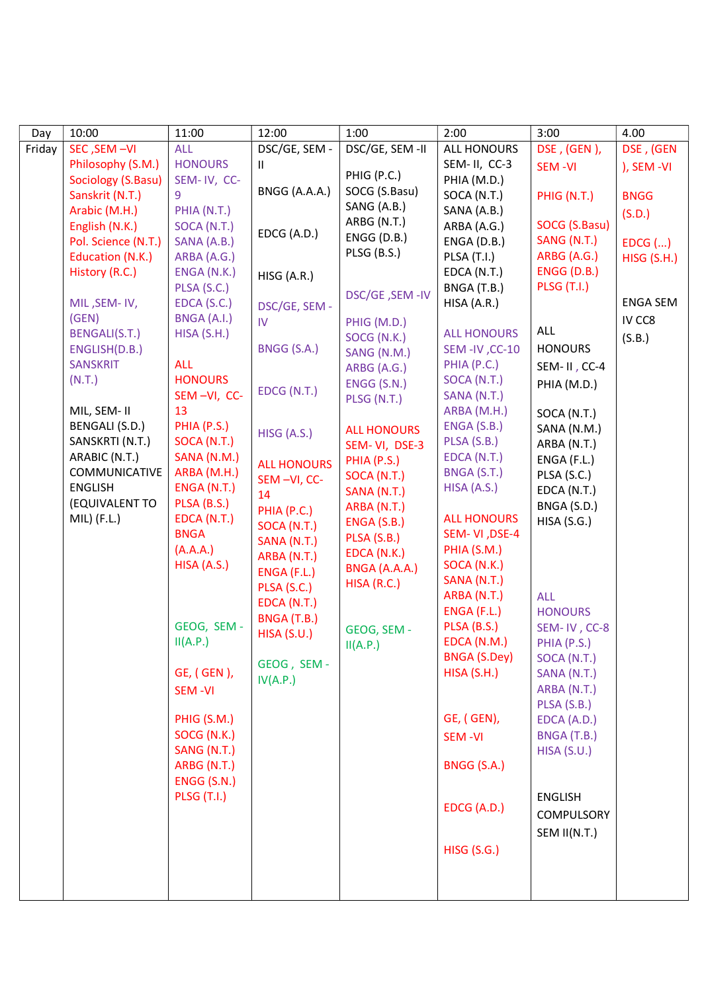| Day    | 10:00                 | 11:00              | 12:00                      | 1:00               | 2:00                | 3:00               | 4.00            |
|--------|-----------------------|--------------------|----------------------------|--------------------|---------------------|--------------------|-----------------|
| Friday | SEC, SEM-VI           | <b>ALL</b>         | DSC/GE, SEM -              | DSC/GE, SEM -II    | <b>ALL HONOURS</b>  | DSE, (GEN),        | DSE, (GEN       |
|        | Philosophy (S.M.)     | <b>HONOURS</b>     | Ш.                         |                    | SEM-II, CC-3        | SEM-VI             | ), SEM -VI      |
|        | Sociology (S.Basu)    | SEM-IV, CC-        |                            | PHIG (P.C.)        | PHIA (M.D.)         |                    |                 |
|        | Sanskrit (N.T.)       | 9                  | BNGG (A.A.A.)              | SOCG (S.Basu)      | SOCA (N.T.)         | PHIG (N.T.)        | <b>BNGG</b>     |
|        | Arabic (M.H.)         | PHIA (N.T.)        |                            | SANG (A.B.)        | SANA (A.B.)         |                    | (S.D.)          |
|        | English (N.K.)        | SOCA (N.T.)        | EDCG (A.D.)                | ARBG (N.T.)        | ARBA (A.G.)         | SOCG (S.Basu)      |                 |
|        | Pol. Science (N.T.)   | SANA (A.B.)        |                            | ENGG (D.B.)        | ENGA (D.B.)         | SANG (N.T.)        | $EDCG$ $()$     |
|        | Education (N.K.)      | ARBA (A.G.)        |                            | PLSG (B.S.)        | PLSA (T.I.)         | ARBG (A.G.)        | HISG (S.H.)     |
|        | History (R.C.)        | ENGA (N.K.)        | HISG (A.R.)                |                    | EDCA (N.T.)         | <b>ENGG (D.B.)</b> |                 |
|        |                       | PLSA (S.C.)        |                            | DSC/GE, SEM-IV     | BNGA (T.B.)         | <b>PLSG (T.I.)</b> |                 |
|        | MIL, SEM-IV,          | EDCA(S.C.)         | DSC/GE, SEM -              |                    | HISA (A.R.)         |                    | <b>ENGA SEM</b> |
|        | (GEN)                 | BNGA (A.I.)        | IV                         | PHIG (M.D.)        |                     |                    | IV CC8          |
|        | <b>BENGALI(S.T.)</b>  | HISA(S.H.)         |                            | SOCG (N.K.)        | <b>ALL HONOURS</b>  | <b>ALL</b>         | (S.B.)          |
|        | ENGLISH(D.B.)         |                    | BNGG (S.A.)                | SANG (N.M.)        | SEM-IV, CC-10       | <b>HONOURS</b>     |                 |
|        | <b>SANSKRIT</b>       | <b>ALL</b>         |                            | ARBG (A.G.)        | PHIA (P.C.)         | SEM-II, CC-4       |                 |
|        | (N.T.)                | <b>HONOURS</b>     |                            | ENGG (S.N.)        | SOCA (N.T.)         | PHIA (M.D.)        |                 |
|        |                       | SEM-VI, CC-        | EDCG (N.T.)                | PLSG (N.T.)        | SANA (N.T.)         |                    |                 |
|        | MIL, SEM- II          | 13                 |                            |                    | ARBA (M.H.)         | SOCA (N.T.)        |                 |
|        | <b>BENGALI (S.D.)</b> | PHIA (P.S.)        | HISG (A.S.)                | <b>ALL HONOURS</b> | ENGA (S.B.)         | SANA (N.M.)        |                 |
|        | SANSKRTI (N.T.)       | SOCA (N.T.)        |                            | SEM-VI, DSE-3      | PLSA (S.B.)         | ARBA (N.T.)        |                 |
|        | ARABIC (N.T.)         | SANA (N.M.)        | <b>ALL HONOURS</b>         | PHIA (P.S.)        | EDCA (N.T.)         | ENGA (F.L.)        |                 |
|        | COMMUNICATIVE         | ARBA (M.H.)        | SEM-VI, CC-                | SOCA (N.T.)        | BNGA (S.T.)         | PLSA (S.C.)        |                 |
|        | ENGLISH               | ENGA (N.T.)        | 14                         | SANA (N.T.)        | HISA (A.S.)         | EDCA (N.T.)        |                 |
|        | (EQUIVALENT TO        | PLSA (B.S.)        | PHIA (P.C.)                | ARBA (N.T.)        |                     | BNGA (S.D.)        |                 |
|        | MIL) (F.L.)           | EDCA (N.T.)        |                            | ENGA (S.B.)        | <b>ALL HONOURS</b>  | HISA(S.G.)         |                 |
|        |                       | <b>BNGA</b>        | SOCA (N.T.)                | PLSA (S.B.)        | SEM-VI, DSE-4       |                    |                 |
|        |                       | (A.A.A.)           | SANA (N.T.)                | EDCA (N.K.)        | PHIA (S.M.)         |                    |                 |
|        |                       | HISA (A.S.)        | ARBA (N.T.)                | BNGA (A.A.A.)      | SOCA (N.K.)         |                    |                 |
|        |                       |                    | ENGA (F.L.)                | HISA (R.C.)        | SANA (N.T.)         |                    |                 |
|        |                       |                    | PLSA (S.C.)<br>EDCA (N.T.) |                    | ARBA (N.T.)         | <b>ALL</b>         |                 |
|        |                       |                    | BNGA (T.B.)                |                    | ENGA (F.L.)         | <b>HONOURS</b>     |                 |
|        |                       | GEOG, SEM -        | <b>HISA (S.U.)</b>         | GEOG, SEM -        | PLSA (B.S.)         | SEM-IV, CC-8       |                 |
|        |                       | II(A.P.)           |                            | II(A.P.)           | EDCA (N.M.)         | PHIA (P.S.)        |                 |
|        |                       |                    | GEOG, SEM-                 |                    | <b>BNGA (S.Dey)</b> | SOCA (N.T.)        |                 |
|        |                       | GE, (GEN),         | IV(A.P.)                   |                    | HISA(S.H.)          | SANA (N.T.)        |                 |
|        |                       | <b>SEM-VI</b>      |                            |                    |                     | ARBA (N.T.)        |                 |
|        |                       |                    |                            |                    |                     | PLSA (S.B.)        |                 |
|        |                       | PHIG (S.M.)        |                            |                    | GE, (GEN),          | EDCA (A.D.)        |                 |
|        |                       | SOCG (N.K.)        |                            |                    | <b>SEM-VI</b>       | BNGA (T.B.)        |                 |
|        |                       | SANG (N.T.)        |                            |                    |                     | HISA(S.U.)         |                 |
|        |                       | ARBG (N.T.)        |                            |                    | BNGG (S.A.)         |                    |                 |
|        |                       | ENGG (S.N.)        |                            |                    |                     |                    |                 |
|        |                       | <b>PLSG (T.I.)</b> |                            |                    |                     | <b>ENGLISH</b>     |                 |
|        |                       |                    |                            |                    | EDCG (A.D.)         | COMPULSORY         |                 |
|        |                       |                    |                            |                    |                     | SEM II(N.T.)       |                 |
|        |                       |                    |                            |                    |                     |                    |                 |
|        |                       |                    |                            |                    | <b>HISG (S.G.)</b>  |                    |                 |
|        |                       |                    |                            |                    |                     |                    |                 |
|        |                       |                    |                            |                    |                     |                    |                 |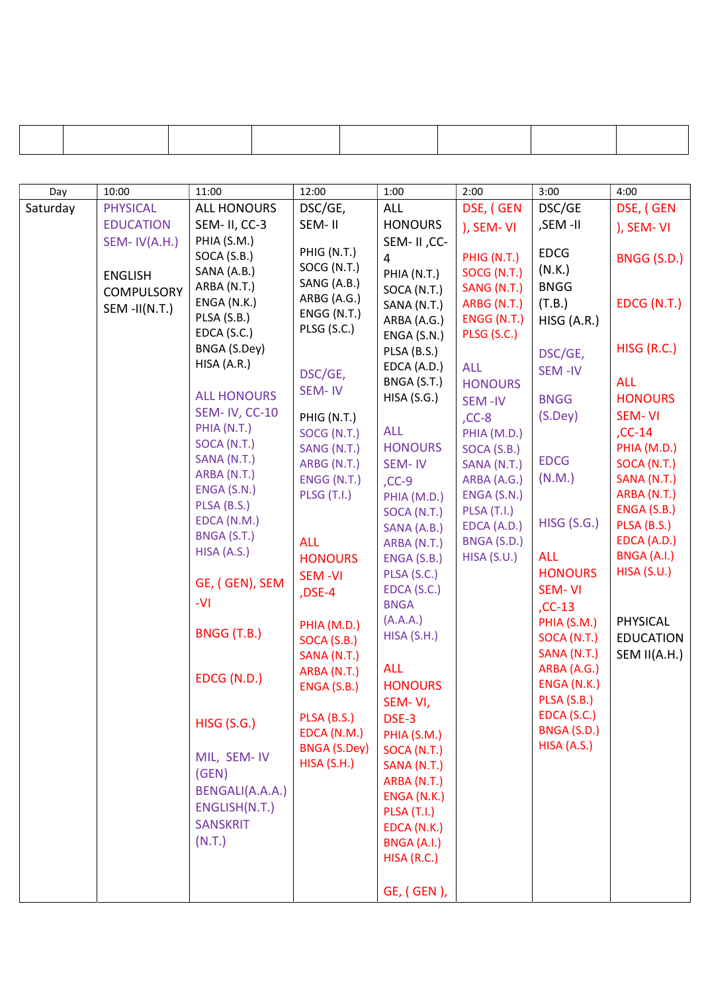| Day      | 10:00             | 11:00                      | 12:00                      | 1:00                       | 2:00                  | 3:00                       | 4:00             |
|----------|-------------------|----------------------------|----------------------------|----------------------------|-----------------------|----------------------------|------------------|
| Saturday | <b>PHYSICAL</b>   | <b>ALL HONOURS</b>         | DSC/GE,                    | ALL                        | DSE, (GEN             | DSC/GE                     | DSE, (GEN        |
|          | <b>EDUCATION</b>  | SEM- II, CC-3              | SEM-II                     | <b>HONOURS</b>             | ), SEM-VI             | ,SEM -II                   | ), SEM-VI        |
|          | SEM-IV(A.H.)      | PHIA (S.M.)                |                            | SEM-II, CC-                |                       |                            |                  |
|          |                   | SOCA (S.B.)                | PHIG (N.T.)                | $\overline{4}$             | PHIG (N.T.)           | <b>EDCG</b>                | BNGG (S.D.)      |
|          | <b>ENGLISH</b>    | SANA (A.B.)                | SOCG (N.T.)<br>SANG (A.B.) | PHIA (N.T.)                | SOCG (N.T.)           | (N.K.)                     |                  |
|          | <b>COMPULSORY</b> | ARBA (N.T.)                | ARBG (A.G.)                | SOCA (N.T.)                | SANG (N.T.)           | <b>BNGG</b>                |                  |
|          | $SEM$ -II(N.T.)   | ENGA (N.K.)                | ENGG (N.T.)                | SANA (N.T.)                | ARBG (N.T.)           | (T.B.)                     | EDCG (N.T.)      |
|          |                   | PLSA (S.B.)<br>EDCA(S.C.)  | PLSG (S.C.)                | ARBA (A.G.)                | ENGG (N.T.)           | HISG (A.R.)                |                  |
|          |                   | BNGA (S.Dey)               |                            | ENGA (S.N.)                | PLSG (S.C.)           |                            | HISG (R.C.)      |
|          |                   | HISA (A.R.)                |                            | PLSA (B.S.)<br>EDCA (A.D.) |                       | DSC/GE,                    |                  |
|          |                   |                            | DSC/GE,                    | BNGA (S.T.)                | <b>ALL</b>            | SEM-IV                     | <b>ALL</b>       |
|          |                   | <b>ALL HONOURS</b>         | SEM-IV                     | HISA(S.G.)                 | <b>HONOURS</b>        | <b>BNGG</b>                | <b>HONOURS</b>   |
|          |                   | <b>SEM-IV, CC-10</b>       |                            |                            | <b>SEM-IV</b>         | $(S.$ Dey $)$              | <b>SEM-VI</b>    |
|          |                   | PHIA (N.T.)                | PHIG (N.T.)<br>SOCG (N.T.) | <b>ALL</b>                 | $CC-8$<br>PHIA (M.D.) |                            | $, CC-14$        |
|          |                   | SOCA (N.T.)                | SANG (N.T.)                | <b>HONOURS</b>             | SOCA (S.B.)           |                            | PHIA (M.D.)      |
|          |                   | SANA (N.T.)                | ARBG (N.T.)                | SEM-IV                     | SANA (N.T.)           | <b>EDCG</b>                | SOCA (N.T.)      |
|          |                   | ARBA (N.T.)                | ENGG(N.T.)                 | $CC-9$                     | ARBA (A.G.)           | (N.M.)                     | SANA (N.T.)      |
|          |                   | ENGA (S.N.)                | <b>PLSG (T.I.)</b>         | PHIA (M.D.)                | ENGA (S.N.)           |                            | ARBA (N.T.)      |
|          |                   | PLSA (B.S.)                |                            | SOCA (N.T.)                | <b>PLSA (T.I.)</b>    |                            | ENGA (S.B.)      |
|          |                   | EDCA (N.M.)                |                            | SANA (A.B.)                | EDCA (A.D.)           | <b>HISG (S.G.)</b>         | PLSA (B.S.)      |
|          |                   | BNGA (S.T.)<br>HISA (A.S.) | <b>ALL</b>                 | ARBA (N.T.)                | BNGA (S.D.)           |                            | EDCA (A.D.)      |
|          |                   |                            | <b>HONOURS</b>             | ENGA (S.B.)                | HISA(S.U.)            | <b>ALL</b>                 | BNGA (A.I.)      |
|          |                   | GE, (GEN), SEM             | <b>SEM-VI</b>              | PLSA (S.C.)                |                       | <b>HONOURS</b>             | HISA(S.U.)       |
|          |                   | $-VI$                      | ,DSE-4                     | EDCA (S.C.)                |                       | SEM-VI                     |                  |
|          |                   |                            |                            | <b>BNGA</b>                |                       | $, CC-13$                  |                  |
|          |                   | BNGG (T.B.)                | PHIA (M.D.)                | (A.A.A.)<br>HISA (S.H.)    |                       | PHIA (S.M.)                | PHYSICAL         |
|          |                   |                            | SOCA (S.B.)                |                            |                       | SOCA (N.T.)                | <b>EDUCATION</b> |
|          |                   |                            | SANA (N.T.)                | <b>ALL</b>                 |                       | SANA (N.T.)<br>ARBA (A.G.) | SEM II(A.H.)     |
|          |                   | EDCG (N.D.)                | ARBA (N.T.)<br>ENGA (S.B.) | <b>HONOURS</b>             |                       | ENGA (N.K.)                |                  |
|          |                   |                            |                            | SEM-VI,                    |                       | PLSA (S.B.)                |                  |
|          |                   |                            | PLSA (B.S.)                | DSE-3                      |                       | EDCA (S.C.)                |                  |
|          |                   | <b>HISG (S.G.)</b>         | EDCA (N.M.)                | PHIA (S.M.)                |                       | BNGA (S.D.)                |                  |
|          |                   |                            | <b>BNGA (S.Dey)</b>        | SOCA (N.T.)                |                       | HISA (A.S.)                |                  |
|          |                   | MIL, SEM- IV               | HISA(S.H.)                 | SANA (N.T.)                |                       |                            |                  |
|          |                   | (GEN)                      |                            | ARBA (N.T.)                |                       |                            |                  |
|          |                   | BENGALI(A.A.A.)            |                            | ENGA (N.K.)                |                       |                            |                  |
|          |                   | ENGLISH(N.T.)              |                            | <b>PLSA (T.I.)</b>         |                       |                            |                  |
|          |                   | <b>SANSKRIT</b>            |                            | EDCA (N.K.)                |                       |                            |                  |
|          |                   | (N.T.)                     |                            | BNGA (A.I.)                |                       |                            |                  |
|          |                   |                            |                            | HISA(R.C.)                 |                       |                            |                  |
|          |                   |                            |                            |                            |                       |                            |                  |
|          |                   |                            |                            | GE, (GEN),                 |                       |                            |                  |